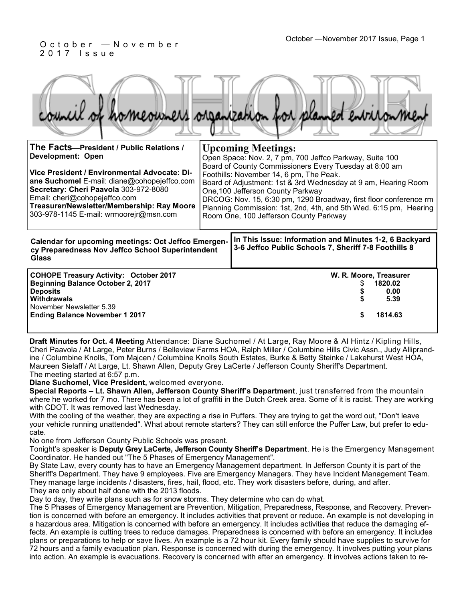#### October —November 2017 Issue, Page 1 O c t o b e r — N o v e m b e r 2 0 1 7 I s s u e

|  |  |  | council of homeowners organization for planned environment |
|--|--|--|------------------------------------------------------------|

| The Facts-President / Public Relations /<br><b>Development: Open</b><br>Vice President / Environmental Advocate: Di-<br>ane Suchomel E-mail: diane@cohopejeffco.com<br>Secretary: Cheri Paavola 303-972-8080<br>Email: cheri@cohopejeffco.com<br>Treasurer/Newsletter/Membership: Ray Moore<br>303-978-1145 E-mail: wrmoorejr@msn.com |                                                                                                                | <b>Upcoming Meetings:</b><br>Open Space: Nov. 2, 7 pm, 700 Jeffco Parkway, Suite 100<br>Board of County Commissioners Every Tuesday at 8:00 am<br>Foothills: November 14, 6 pm, The Peak.<br>Board of Adjustment: 1st & 3rd Wednesday at 9 am, Hearing Room<br>One, 100 Jefferson County Parkway<br>DRCOG: Nov. 15, 6:30 pm, 1290 Broadway, first floor conference rm<br>Planning Commission: 1st, 2nd, 4th, and 5th Wed. 6:15 pm, Hearing<br>Room One, 100 Jefferson County Parkway |
|---------------------------------------------------------------------------------------------------------------------------------------------------------------------------------------------------------------------------------------------------------------------------------------------------------------------------------------|----------------------------------------------------------------------------------------------------------------|--------------------------------------------------------------------------------------------------------------------------------------------------------------------------------------------------------------------------------------------------------------------------------------------------------------------------------------------------------------------------------------------------------------------------------------------------------------------------------------|
| <b>Calendar for upcoming meetings: Oct Jeffco Emergen-</b><br>cy Preparedness Nov Jeffco School Superintendent<br><b>Glass</b>                                                                                                                                                                                                        | In This Issue: Information and Minutes 1-2, 6 Backyard<br>3-6 Jeffco Public Schools 7, Sheriff 7-8 Foothills 8 |                                                                                                                                                                                                                                                                                                                                                                                                                                                                                      |
| <b>COHOPE Treasury Activity: October 2017</b><br>Beginning Balance October 2, 2017<br><b>Deposits</b><br><b>Withdrawals</b><br>November Newsletter 5.39<br><b>Ending Balance November 1 2017</b>                                                                                                                                      |                                                                                                                | W. R. Moore, Treasurer<br>1820.02<br>0.00<br>5.39<br>1814.63<br>S                                                                                                                                                                                                                                                                                                                                                                                                                    |

**Draft Minutes for Oct. 4 Meeting** Attendance: Diane Suchomel / At Large, Ray Moore & Al Hintz / Kipling Hills, Cheri Paavola / At Large, Peter Burns / Belleview Farms HOA, Ralph Miller / Columbine Hills Civic Assn., Judy Alliprandine / Columbine Knolls, Tom Majcen / Columbine Knolls South Estates, Burke & Betty Steinke / Lakehurst West HOA, Maureen Sielaff / At Large, Lt. Shawn Allen, Deputy Grey LaCerte / Jefferson County Sheriff's Department. The meeting started at 6:57 p.m.

**Diane Suchomel, Vice President,** welcomed everyone.

**Special Reports – Lt. Shawn Allen, Jefferson County Sheriff's Department**, just transferred from the mountain where he worked for 7 mo. There has been a lot of graffiti in the Dutch Creek area. Some of it is racist. They are working with CDOT. It was removed last Wednesday.

With the cooling of the weather, they are expecting a rise in Puffers. They are trying to get the word out, "Don't leave your vehicle running unattended". What about remote starters? They can still enforce the Puffer Law, but prefer to educate.

No one from Jefferson County Public Schools was present.

Tonight's speaker is **Deputy Grey LaCerte, Jefferson County Sheriff's Department**. He is the Emergency Management Coordinator. He handed out "The 5 Phases of Emergency Management".

By State Law, every county has to have an Emergency Management department. In Jefferson County it is part of the Sheriff's Department. They have 9 employees. Five are Emergency Managers. They have Incident Management Team. They manage large incidents / disasters, fires, hail, flood, etc. They work disasters before, during, and after. They are only about half done with the 2013 floods.

Day to day, they write plans such as for snow storms. They determine who can do what.

The 5 Phases of Emergency Management are Prevention, Mitigation, Preparedness, Response, and Recovery. Prevention is concerned with before an emergency. It includes activities that prevent or reduce. An example is not developing in a hazardous area. Mitigation is concerned with before an emergency. It includes activities that reduce the damaging effects. An example is cutting trees to reduce damages. Preparedness is concerned with before an emergency. It includes plans or preparations to help or save lives. An example is a 72 hour kit. Every family should have supplies to survive for 72 hours and a family evacuation plan. Response is concerned with during the emergency. It involves putting your plans into action. An example is evacuations. Recovery is concerned with after an emergency. It involves actions taken to re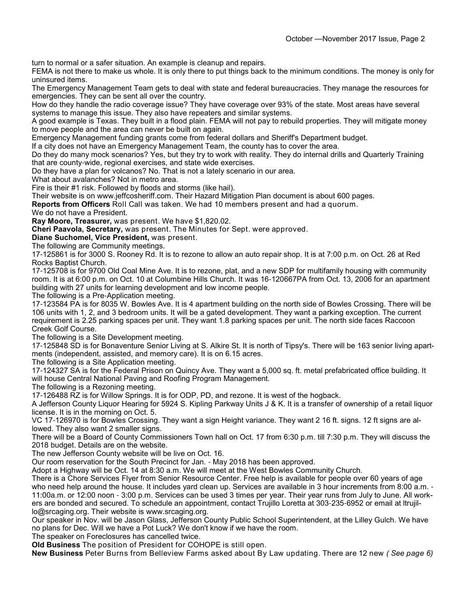turn to normal or a safer situation. An example is cleanup and repairs.

FEMA is not there to make us whole. It is only there to put things back to the minimum conditions. The money is only for uninsured items.

The Emergency Management Team gets to deal with state and federal bureaucracies. They manage the resources for emergencies. They can be sent all over the country.

How do they handle the radio coverage issue? They have coverage over 93% of the state. Most areas have several systems to manage this issue. They also have repeaters and similar systems.

A good example is Texas. They built in a flood plain. FEMA will not pay to rebuild properties. They will mitigate money to move people and the area can never be built on again.

Emergency Management funding grants come from federal dollars and Sheriff's Department budget.

If a city does not have an Emergency Management Team, the county has to cover the area.

Do they do many mock scenarios? Yes, but they try to work with reality. They do internal drills and Quarterly Training that are county-wide, regional exercises, and state wide exercises.

Do they have a plan for volcanos? No. That is not a lately scenario in our area.

What about avalanches? Not in metro area.

Fire is their #1 risk. Followed by floods and storms (like hail).

Their website is on www.jeffcosheriff.com. Their Hazard Mitigation Plan document is about 600 pages.

**Reports from Officers** Roll Call was taken. We had 10 members present and had a quorum.

We do not have a President.

**Ray Moore, Treasurer,** was present. We have \$1,820.02.

**Cheri Paavola, Secretary,** was present. The Minutes for Sept. were approved.

**Diane Suchomel, Vice President,** was present.

The following are Community meetings.

17-125861 is for 3000 S. Rooney Rd. It is to rezone to allow an auto repair shop. It is at 7:00 p.m. on Oct. 26 at Red Rocks Baptist Church.

17-125708 is for 9700 Old Coal Mine Ave. It is to rezone, plat, and a new SDP for multifamily housing with community room. It is at 6:00 p.m. on Oct. 10 at Columbine Hills Church. It was 16-120667PA from Oct. 13, 2006 for an apartment building with 27 units for learning development and low income people.

The following is a Pre-Application meeting.

17-123584 PA is for 8035 W. Bowles Ave. It is 4 apartment building on the north side of Bowles Crossing. There will be 106 units with 1, 2, and 3 bedroom units. It will be a gated development. They want a parking exception. The current requirement is 2.25 parking spaces per unit. They want 1.8 parking spaces per unit. The north side faces Raccoon Creek Golf Course.

The following is a Site Development meeting.

17-125848 SD is for Bonaventure Senior Living at S. Alkire St. It is north of Tipsy's. There will be 163 senior living apartments (independent, assisted, and memory care). It is on 6.15 acres.

The following is a Site Application meeting.

17-124327 SA is for the Federal Prison on Quincy Ave. They want a 5,000 sq. ft. metal prefabricated office building. It will house Central National Paving and Roofing Program Management.

The following is a Rezoning meeting.

17-126488 RZ is for Willow Springs. It is for ODP, PD, and rezone. It is west of the hogback.

A Jefferson County Liquor Hearing for 5924 S. Kipling Parkway Units J & K. It is a transfer of ownership of a retail liquor license. It is in the morning on Oct. 5.

VC 17-126970 is for Bowles Crossing. They want a sign Height variance. They want 2 16 ft. signs. 12 ft signs are allowed. They also want 2 smaller signs.

There will be a Board of County Commissioners Town hall on Oct. 17 from 6:30 p.m. till 7:30 p.m. They will discuss the 2018 budget. Details are on the website.

The new Jefferson County website will be live on Oct. 16.

Our room reservation for the South Precinct for Jan. - May 2018 has been approved.

Adopt a Highway will be Oct. 14 at 8:30 a.m. We will meet at the West Bowles Community Church.

There is a Chore Services Flyer from Senior Resource Center. Free help is available for people over 60 years of age who need help around the house. It includes yard clean up. Services are available in 3 hour increments from 8:00 a.m. -11:00a.m. or 12:00 noon - 3:00 p.m. Services can be used 3 times per year. Their year runs from July to June. All workers are bonded and secured. To schedule an appointment, contact Trujillo Loretta at 303-235-6952 or email at ltrujillo@srcaging.org. Their website is www.srcaging.org.

Our speaker in Nov. will be Jason Glass, Jefferson County Public School Superintendent, at the Lilley Gulch. We have no plans for Dec. Will we have a Pot Luck? We don't know if we have the room.

The speaker on Foreclosures has cancelled twice.

**Old Business** The position of President for COHOPE is still open.

**New Business** Peter Burns from Belleview Farms asked about By Law updating. There are 12 new *( See page 6)*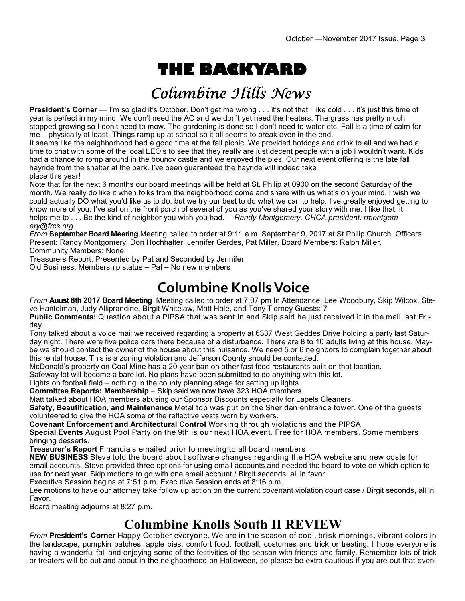# **THE BACKYARD**

# Columbine Hills News

**President's Corner** — I'm so glad it's October. Don't get me wrong . . . it's not that I like cold . . . it's just this time of year is perfect in my mind. We don't need the AC and we don't yet need the heaters. The grass has pretty much stopped growing so I don't need to mow. The gardening is done so I don't need to water etc. Fall is a time of calm for me – physically at least. Things ramp up at school so it all seems to break even in the end.

It seems like the neighborhood had a good time at the fall picnic. We provided hotdogs and drink to all and we had a time to chat with some of the local LEO's to see that they really are just decent people with a job I wouldn't want. Kids had a chance to romp around in the bouncy castle and we enjoyed the pies. Our next event offering is the late fall hayride from the shelter at the park. I've been guaranteed the hayride will indeed take place this year!

Note that for the next 6 months our board meetings will be held at St. Philip at 0900 on the second Saturday of the month. We really do like it when folks from the neighborhood come and share with us what's on your mind. I wish we could actually DO what you'd like us to do, but we try our best to do what we can to help. I've greatly enjoyed getting to know more of you. I've sat on the front porch of several of you as you've shared your story with me. I like that, it helps me to . . . Be the kind of neighbor you wish you had.— *Randy Montgomery, CHCA president, rmontgomery@frcs.org*

*From* **September Board Meeting** Meeting called to order at 9:11 a.m. September 9, 2017 at St Philip Church. Officers Present: Randy Montgomery, Don Hochhalter, Jennifer Gerdes, Pat Miller. Board Members: Ralph Miller. Community Members: None

Treasurers Report: Presented by Pat and Seconded by Jennifer

Old Business: Membership status – Pat – No new members

# **Columbine Knolls Voice**

*From* **Auust 8th 2017 Board Meeting** Meeting called to order at 7:07 pm In Attendance: Lee Woodbury, Skip Wilcox, Steve Hantelman, Judy Alliprandine, Birgit Whitelaw, Matt Hale, and Tony Tierney Guests: 7

**Public Comments:** Question about a PIPSA that was sent in and Skip said he just received it in the mail last Friday.

Tony talked about a voice mail we received regarding a property at 6337 West Geddes Drive holding a party last Saturday night. There were five police cars there because of a disturbance. There are 8 to 10 adults living at this house. Maybe we should contact the owner of the house about this nuisance. We need 5 or 6 neighbors to complain together about this rental house. This is a zoning violation and Jefferson County should be contacted.

McDonald's property on Coal Mine has a 20 year ban on other fast food restaurants built on that location.

Safeway lot will become a bare lot. No plans have been submitted to do anything with this lot.

Lights on football field – nothing in the county planning stage for setting up lights.

**Committee Reports: Membership** – Skip said we now have 323 HOA members.

Matt talked about HOA members abusing our Sponsor Discounts especially for Lapels Cleaners.

**Safety, Beautification, and Maintenance** Metal top was put on the Sheridan entrance tower. One of the guests volunteered to give the HOA some of the reflective vests worn by workers.

**Covenant Enforcement and Architectural Control** Working through violations and the PIPSA

**Special Events** August Pool Party on the 9th is our next HOA event. Free for HOA members. Some members bringing desserts.

**Treasurer's Report** Financials emailed prior to meeting to all board members

**NEW BUSINESS** Steve told the board about software changes regarding the HOA website and new costs for email accounts. Steve provided three options for using email accounts and needed the board to vote on which option to use for next year. Skip motions to go with one email account / Birgit seconds, all in favor.

Executive Session begins at 7:51 p.m. Executive Session ends at 8:16 p.m.

Lee motions to have our attorney take follow up action on the current covenant violation court case / Birgit seconds, all in Favor.

Board meeting adjourns at 8:27 p.m.

### **Columbine Knolls South II REVIEW**

*From* **President's Corner** Happy October everyone. We are in the season of cool, brisk mornings, vibrant colors in the landscape, pumpkin patches, apple pies, comfort food, football, costumes and trick or treating. I hope everyone is having a wonderful fall and enjoying some of the festivities of the season with friends and family. Remember lots of trick or treaters will be out and about in the neighborhood on Halloween, so please be extra cautious if you are out that even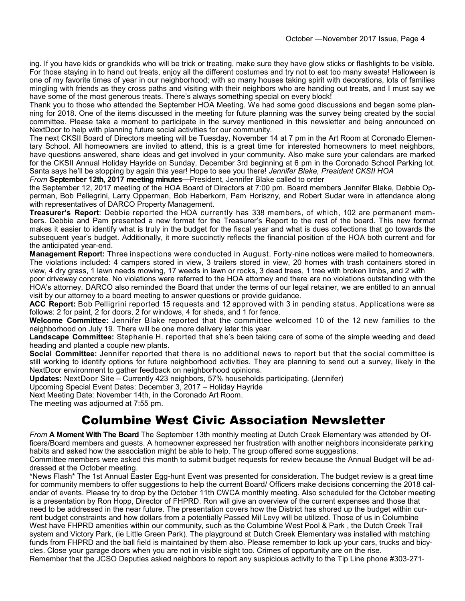ing. If you have kids or grandkids who will be trick or treating, make sure they have glow sticks or flashlights to be visible. For those staying in to hand out treats, enjoy all the different costumes and try not to eat too many sweats! Halloween is one of my favorite times of year in our neighborhood; with so many houses taking spirit with decorations, lots of families mingling with friends as they cross paths and visiting with their neighbors who are handing out treats, and I must say we have some of the most generous treats. There's always something special on every block!

Thank you to those who attended the September HOA Meeting. We had some good discussions and began some planning for 2018. One of the items discussed in the meeting for future planning was the survey being created by the social committee. Please take a moment to participate in the survey mentioned in this newsletter and being announced on NextDoor to help with planning future social activities for our community.

The next CKSII Board of Directors meeting will be Tuesday, November 14 at 7 pm in the Art Room at Coronado Elementary School. All homeowners are invited to attend, this is a great time for interested homeowners to meet neighbors, have questions answered, share ideas and get involved in your community. Also make sure your calendars are marked for the CKSII Annual Holiday Hayride on Sunday, December 3rd beginning at 6 pm in the Coronado School Parking lot. Santa says he'll be stopping by again this year! Hope to see you there! *Jennifer Blake, President CKSII HOA*

*From* **September 12th, 2017 meeting minutes**—President, Jennifer Blake called to order

the September 12, 2017 meeting of the HOA Board of Directors at 7:00 pm. Board members Jennifer Blake, Debbie Opperman, Bob Pellegrini, Larry Opperman, Bob Haberkorn, Pam Horiszny, and Robert Sudar were in attendance along with representatives of DARCO Property Management.

**Treasurer's Report**: Debbie reported the HOA currently has 338 members, of which, 102 are permanent members. Debbie and Pam presented a new format for the Treasurer's Report to the rest of the board. This new format makes it easier to identify what is truly in the budget for the fiscal year and what is dues collections that go towards the subsequent year's budget. Additionally, it more succinctly reflects the financial position of the HOA both current and for the anticipated year-end.

**Management Report:** Three inspections were conducted in August. Forty-nine notices were mailed to homeowners. The violations included: 4 campers stored in view, 3 trailers stored in view, 20 homes with trash containers stored in view, 4 dry grass, 1 lawn needs mowing, 17 weeds in lawn or rocks, 3 dead trees, 1 tree with broken limbs, and 2 with

poor driveway concrete. No violations were referred to the HOA attorney and there are no violations outstanding with the HOA's attorney. DARCO also reminded the Board that under the terms of our legal retainer, we are entitled to an annual visit by our attorney to a board meeting to answer questions or provide guidance.

**ACC Report:** Bob Pelligrini reported 15 requests and 12 approved with 3 in pending status. Applications were as follows: 2 for paint, 2 for doors, 2 for windows, 4 for sheds, and 1 for fence.

**Welcome Committee:** Jennifer Blake reported that the committee welcomed 10 of the 12 new families to the neighborhood on July 19. There will be one more delivery later this year.

**Landscape Committee:** Stephanie H. reported that she's been taking care of some of the simple weeding and dead heading and planted a couple new plants.

**Social Committee:** Jennifer reported that there is no additional news to report but that the social committee is still working to identify options for future neighborhood activities. They are planning to send out a survey, likely in the NextDoor environment to gather feedback on neighborhood opinions.

**Updates:** NextDoor Site – Currently 423 neighbors, 57% households participating. (Jennifer)

Upcoming Special Event Dates: December 3, 2017 – Holiday Hayride

Next Meeting Date: November 14th, in the Coronado Art Room.

The meeting was adjourned at 7:55 pm.

#### Columbine West Civic Association Newsletter

*From* **A Moment With The Board** The September 13th monthly meeting at Dutch Creek Elementary was attended by Officers/Board members and guests. A homeowner expressed her frustration with another neighbors inconsiderate parking habits and asked how the association might be able to help. The group offered some suggestions.

Committee members were asked this month to submit budget requests for review because the Annual Budget will be addressed at the October meeting.

\*News Flash\* The 1st Annual Easter Egg-hunt Event was presented for consideration. The budget review is a great time for community members to offer suggestions to help the current Board/ Officers make decisions concerning the 2018 calendar of events. Please try to drop by the October 11th CWCA monthly meeting. Also scheduled for the October meeting is a presentation by Ron Hopp, Director of FHPRD. Ron will give an overview of the current expenses and those that need to be addressed in the near future. The presentation covers how the District has shored up the budget within current budget constraints and how dollars from a potentially Passed Mil Levy will be utilized. Those of us in Columbine West have FHPRD amenities within our community, such as the Columbine West Pool & Park , the Dutch Creek Trail system and Victory Park, (ie Little Green Park). The playground at Dutch Creek Elementary was installed with matching funds from FHPRD and the ball field is maintained by them also. Please remember to lock up your cars, trucks and bicycles. Close your garage doors when you are not in visible sight too. Crimes of opportunity are on the rise. Remember that the JCSO Deputies asked neighbors to report any suspicious activity to the Tip Line phone #303-271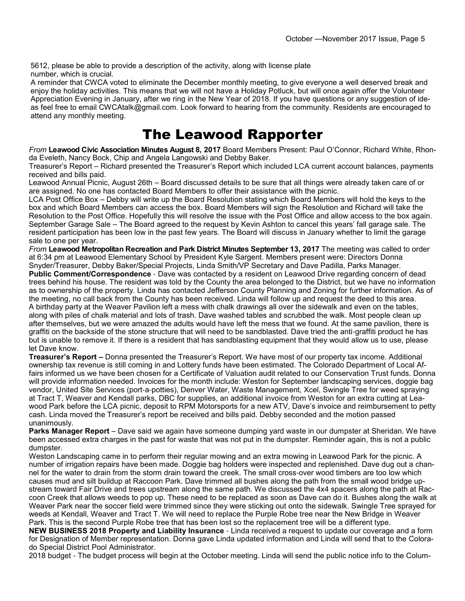5612, please be able to provide a description of the activity, along with license plate number, which is crucial.

A reminder that CWCA voted to eliminate the December monthly meeting, to give everyone a well deserved break and enjoy the holiday activities. This means that we will not have a Holiday Potluck, but will once again offer the Volunteer Appreciation Evening in January, after we ring in the New Year of 2018. If you have questions or any suggestion of ideas feel free to email CWCAtalk@gmail.com. Look forward to hearing from the community. Residents are encouraged to attend any monthly meeting.

#### The Leawood Rapporter

*From* **Leawood Civic Association Minutes August 8, 2017** Board Members Present: Paul O'Connor, Richard White, Rhonda Eveleth, Nancy Bock, Chip and Angela Langowski and Debby Baker.

Treasurer's Report – Richard presented the Treasurer's Report which included LCA current account balances, payments received and bills paid.

Leawood Annual Picnic, August 26th – Board discussed details to be sure that all things were already taken care of or are assigned. No one has contacted Board Members to offer their assistance with the picnic.

LCA Post Office Box – Debby will write up the Board Resolution stating which Board Members will hold the keys to the box and which Board Members can access the box. Board Members will sign the Resolution and Richard will take the Resolution to the Post Office. Hopefully this will resolve the issue with the Post Office and allow access to the box again. September Garage Sale – The Board agreed to the request by Kevin Ashton to cancel this years' fall garage sale. The resident participation has been low in the past few years. The Board will discuss in January whether to limit the garage sale to one per year.

*From* **Leawood Metropolitan Recreation and Park District Minutes September 13, 2017** The meeting was called to order at 6:34 pm at Leawood Elementary School by President Kyle Sargent. Members present were: Directors Donna Snyder/Treasurer, Debby Baker/Special Projects, Linda Smith/VP Secretary and Dave Padilla, Parks Manager.

**Public Comment/Correspondence** - Dave was contacted by a resident on Leawood Drive regarding concern of dead trees behind his house. The resident was told by the County the area belonged to the District, but we have no information as to ownership of the property. Linda has contacted Jefferson County Planning and Zoning for further information. As of the meeting, no call back from the County has been received. Linda will follow up and request the deed to this area. A birthday party at the Weaver Pavilion left a mess with chalk drawings all over the sidewalk and even on the tables, along with piles of chalk material and lots of trash. Dave washed tables and scrubbed the walk. Most people clean up after themselves, but we were amazed the adults would have left the mess that we found. At the same pavilion, there is graffiti on the backside of the stone structure that will need to be sandblasted. Dave tried the anti-graffiti product he has but is unable to remove it. If there is a resident that has sandblasting equipment that they would allow us to use, please let Dave know.

**Treasurer's Report –** Donna presented the Treasurer's Report. We have most of our property tax income. Additional ownership tax revenue is still coming in and Lottery funds have been estimated. The Colorado Department of Local Affairs informed us we have been chosen for a Certificate of Valuation audit related to our Conservation Trust funds. Donna will provide information needed. Invoices for the month include: Weston for September landscaping services, doggie bag vendor, United Site Services (port-a-potties), Denver Water, Waste Management, Xcel, Swingle Tree for weed spraying at Tract T, Weaver and Kendall parks, DBC for supplies, an additional invoice from Weston for an extra cutting at Leawood Park before the LCA picnic, deposit to RPM Motorsports for a new ATV, Dave's invoice and reimbursement to petty cash. Linda moved the Treasurer's report be received and bills paid. Debby seconded and the motion passed unanimously.

**Parks Manager Report** – Dave said we again have someone dumping yard waste in our dumpster at Sheridan. We have been accessed extra charges in the past for waste that was not put in the dumpster. Reminder again, this is not a public dumpster.

Weston Landscaping came in to perform their regular mowing and an extra mowing in Leawood Park for the picnic. A number of irrigation repairs have been made. Doggie bag holders were inspected and replenished. Dave dug out a channel for the water to drain from the storm drain toward the creek. The small cross-over wood timbers are too low which causes mud and silt buildup at Raccoon Park. Dave trimmed all bushes along the path from the small wood bridge upstream toward Fair Drive and trees upstream along the same path. We discussed the 4x4 spacers along the path at Raccoon Creek that allows weeds to pop up. These need to be replaced as soon as Dave can do it. Bushes along the walk at Weaver Park near the soccer field were trimmed since they were sticking out onto the sidewalk. Swingle Tree sprayed for weeds at Kendall, Weaver and Tract T. We will need to replace the Purple Robe tree near the New Bridge in Weaver Park. This is the second Purple Robe tree that has been lost so the replacement tree will be a different type.

**NEW BUSINESS 2018 Property and Liability Insurance** - Linda received a request to update our coverage and a form for Designation of Member representation. Donna gave Linda updated information and Linda will send that to the Colorado Special District Pool Administrator.

2018 budget - The budget process will begin at the October meeting. Linda will send the public notice info to the Colum-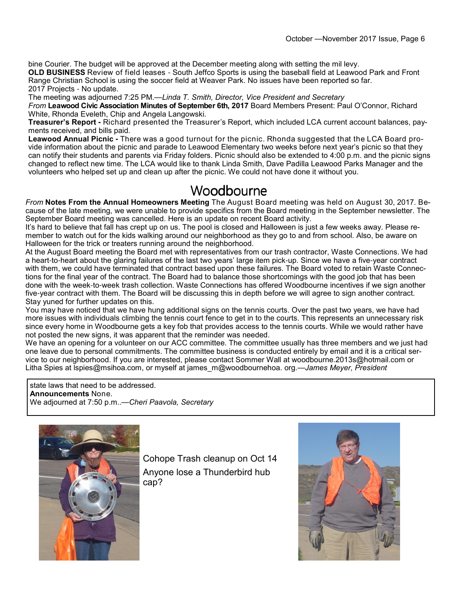bine Courier. The budget will be approved at the December meeting along with setting the mil levy.

**OLD BUSINESS** Review of field leases - South Jeffco Sports is using the baseball field at Leawood Park and Front Range Christian School is using the soccer field at Weaver Park. No issues have been reported so far. 2017 Projects - No update.

The meeting was adjourned 7:25 PM.—*Linda T. Smith, Director, Vice President and Secretary*

*From* **Leawood Civic Association Minutes of September 6th, 2017** Board Members Present: Paul O'Connor, Richard White, Rhonda Eveleth, Chip and Angela Langowski.

**Treasurer's Report -** Richard presented the Treasurer's Report, which included LCA current account balances, payments received, and bills paid.

**Leawood Annual Picnic -** There was a good turnout for the picnic. Rhonda suggested that the LCA Board provide information about the picnic and parade to Leawood Elementary two weeks before next year's picnic so that they can notify their students and parents via Friday folders. Picnic should also be extended to 4:00 p.m. and the picnic signs changed to reflect new time. The LCA would like to thank Linda Smith, Dave Padilla Leawood Parks Manager and the volunteers who helped set up and clean up after the picnic. We could not have done it without you.

#### Woodbourne

*From* **Notes From the Annual Homeowners Meeting** The August Board meeting was held on August 30, 2017. Because of the late meeting, we were unable to provide specifics from the Board meeting in the September newsletter. The September Board meeting was cancelled. Here is an update on recent Board activity.

It's hard to believe that fall has crept up on us. The pool is closed and Halloween is just a few weeks away. Please remember to watch out for the kids walking around our neighborhood as they go to and from school. Also, be aware on Halloween for the trick or treaters running around the neighborhood.

At the August Board meeting the Board met with representatives from our trash contractor, Waste Connections. We had a heart-to-heart about the glaring failures of the last two years' large item pick-up. Since we have a five-year contract with them, we could have terminated that contract based upon these failures. The Board voted to retain Waste Connections for the final year of the contract. The Board had to balance those shortcomings with the good job that has been done with the week-to-week trash collection. Waste Connections has offered Woodbourne incentives if we sign another five-year contract with them. The Board will be discussing this in depth before we will agree to sign another contract. Stay yuned for further updates on this.

You may have noticed that we have hung additional signs on the tennis courts. Over the past two years, we have had more issues with individuals climbing the tennis court fence to get in to the courts. This represents an unnecessary risk since every home in Woodbourne gets a key fob that provides access to the tennis courts. While we would rather have not posted the new signs, it was apparent that the reminder was needed.

We have an opening for a volunteer on our ACC committee. The committee usually has three members and we just had one leave due to personal commitments. The committee business is conducted entirely by email and it is a critical service to our neighborhood. If you are interested, please contact Sommer Wall at woodbourne.2013s@hotmail.com or Litha Spies at lspies@msihoa.com, or myself at james\_m@woodbournehoa. org.—*James Meyer, President*

state laws that need to be addressed. **Announcements** None. We adjourned at 7:50 p.m..—*Cheri Paavola, Secretary*



Cohope Trash cleanup on Oct 14 Anyone lose a Thunderbird hub cap?

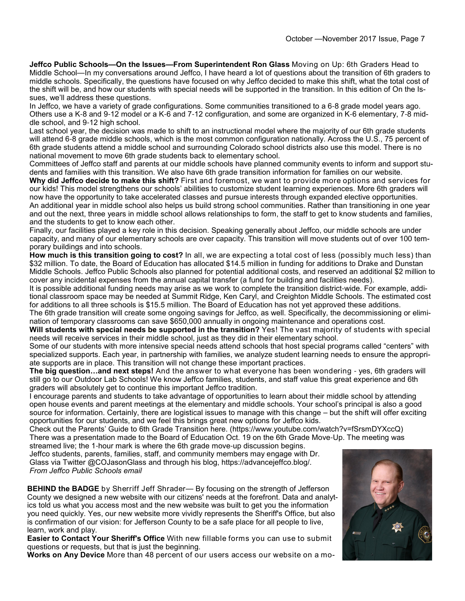**Jeffco Public Schools—On the Issues—From Superintendent Ron Glass** Moving on Up: 6th Graders Head to Middle School—In my conversations around Jeffco, I have heard a lot of questions about the transition of 6th graders to middle schools. Specifically, the questions have focused on why Jeffco decided to make this shift, what the total cost of the shift will be, and how our students with special needs will be supported in the transition. In this edition of On the Issues, we'll address these questions.

In Jeffco, we have a variety of grade configurations. Some communities transitioned to a 6-8 grade model years ago. Others use a K-8 and 9-12 model or a K-6 and 7-12 configuration, and some are organized in K-6 elementary, 7-8 middle school, and 9-12 high school.

Last school year, the decision was made to shift to an instructional model where the majority of our 6th grade students will attend 6-8 grade middle schools, which is the most common configuration nationally. Across the U.S., 75 percent of 6th grade students attend a middle school and surrounding Colorado school districts also use this model. There is no national movement to move 6th grade students back to elementary school.

Committees of Jeffco staff and parents at our middle schools have planned community events to inform and support students and families with this transition. We also have 6th grade transition information for families on our website.

**Why did Jeffco decide to make this shift?** First and foremost, we want to provide more options and services for our kids! This model strengthens our schools' abilities to customize student learning experiences. More 6th graders will now have the opportunity to take accelerated classes and pursue interests through expanded elective opportunities. An additional year in middle school also helps us build strong school communities. Rather than transitioning in one year and out the next, three years in middle school allows relationships to form, the staff to get to know students and families, and the students to get to know each other.

Finally, our facilities played a key role in this decision. Speaking generally about Jeffco, our middle schools are under capacity, and many of our elementary schools are over capacity. This transition will move students out of over 100 temporary buildings and into schools.

**How much is this transition going to cost?** In all, we are expecting a total cost of less (possibly much less) than \$32 million. To date, the Board of Education has allocated \$14.5 million in funding for additions to Drake and Dunstan Middle Schools. Jeffco Public Schools also planned for potential additional costs, and reserved an additional \$2 million to cover any incidental expenses from the annual capital transfer (a fund for building and facilities needs).

It is possible additional funding needs may arise as we work to complete the transition district-wide. For example, additional classroom space may be needed at Summit Ridge, Ken Caryl, and Creighton Middle Schools. The estimated cost for additions to all three schools is \$15.5 million. The Board of Education has not yet approved these additions.

The 6th grade transition will create some ongoing savings for Jeffco, as well. Specifically, the decommissioning or elimination of temporary classrooms can save \$650,000 annually in ongoing maintenance and operations cost.

Will students with special needs be supported in the transition? Yes! The vast majority of students with special needs will receive services in their middle school, just as they did in their elementary school.

Some of our students with more intensive special needs attend schools that host special programs called "centers" with specialized supports. Each year, in partnership with families, we analyze student learning needs to ensure the appropriate supports are in place. This transition will not change these important practices.

**The big question…and next steps!** And the answer to what everyone has been wondering - yes, 6th graders will still go to our Outdoor Lab Schools! We know Jeffco families, students, and staff value this great experience and 6th graders will absolutely get to continue this important Jeffco tradition.

I encourage parents and students to take advantage of opportunities to learn about their middle school by attending open house events and parent meetings at the elementary and middle schools. Your school's principal is also a good source for information. Certainly, there are logistical issues to manage with this change – but the shift will offer exciting opportunities for our students, and we feel this brings great new options for Jeffco kids.

Check out the Parents' Guide to 6th Grade Transition here. (https://www.youtube.com/watch?v=fSrsmDYXccQ) There was a presentation made to the Board of Education Oct. 19 on the 6th Grade Move-Up. The meeting was streamed live; the 1-hour mark is where the 6th grade move-up discussion begins.

Jeffco students, parents, families, staff, and community members may engage with Dr. Glass via Twitter @COJasonGlass and through his blog, https://advancejeffco.blog/. *From Jeffco Public Schools email* 

**BEHIND the BADGE** by Sherriff Jeff Shrader— By focusing on the strength of Jefferson County we designed a new website with our citizens' needs at the forefront. Data and analytics told us what you access most and the new website was built to get you the information you need quickly. Yes, our new website more vividly represents the Sheriff's Office, but also is confirmation of our vision: for Jefferson County to be a safe place for all people to live, learn, work and play.

**Easier to Contact Your Sheriff's Office** With new fillable forms you can use to submit questions or requests, but that is just the beginning.

**Works on Any Device** More than 48 percent of our users access our website on a mo-